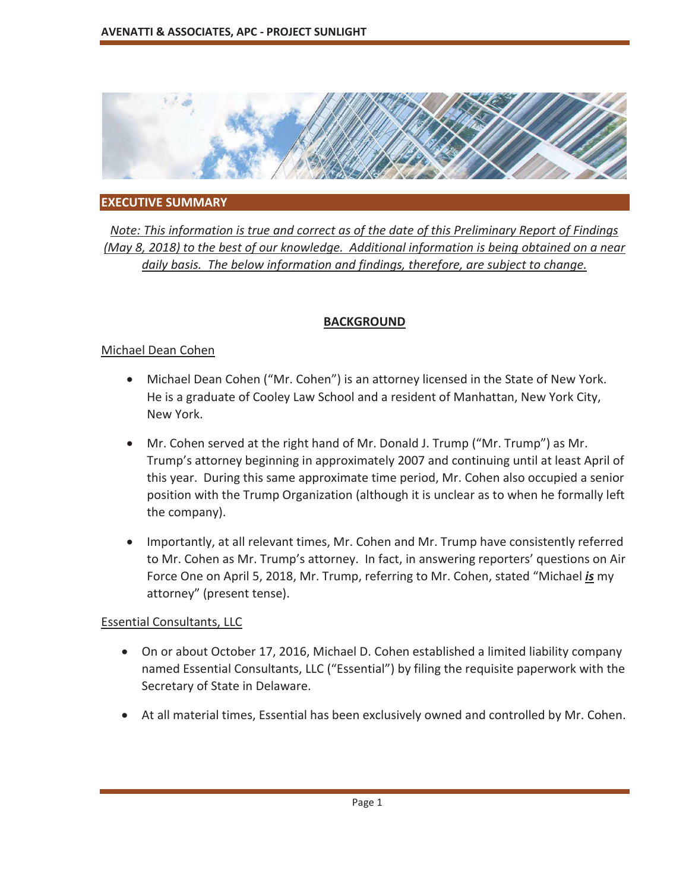

#### **EXECUTIVE SUMMARY**

*Note: This information is true and correct as of the date of this Preliminary Report of Findings (May 8, 2018) to the best of our knowledge. Additional information is being obtained on a near daily basis. The below information and findings, therefore, are subject to change.* 

#### **BACKGROUND**

#### Michael Dean Cohen

- Michael Dean Cohen ("Mr. Cohen") is an attorney licensed in the State of New York. He is a graduate of Cooley Law School and a resident of Manhattan, New York City, New York.
- Mr. Cohen served at the right hand of Mr. Donald J. Trump ("Mr. Trump") as Mr. Trump's attorney beginning in approximately 2007 and continuing until at least April of this year. During this same approximate time period, Mr. Cohen also occupied a senior position with the Trump Organization (although it is unclear as to when he formally left the company).
- Importantly, at all relevant times, Mr. Cohen and Mr. Trump have consistently referred to Mr. Cohen as Mr. Trump's attorney. In fact, in answering reporters' questions on Air Force One on April 5, 2018, Mr. Trump, referring to Mr. Cohen, stated "Michael *is* my attorney" (present tense).

#### Essential Consultants, LLC

- On or about October 17, 2016, Michael D. Cohen established a limited liability company named Essential Consultants, LLC ("Essential") by filing the requisite paperwork with the Secretary of State in Delaware.
- At all material times, Essential has been exclusively owned and controlled by Mr. Cohen.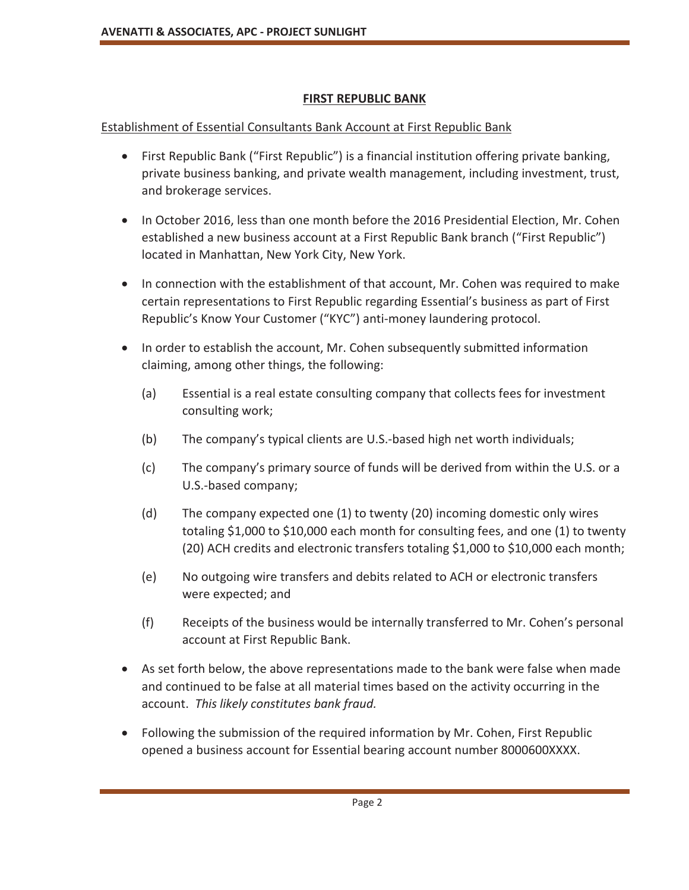## **FIRST REPUBLIC BANK**

## Establishment of Essential Consultants Bank Account at First Republic Bank

- First Republic Bank ("First Republic") is a financial institution offering private banking, private business banking, and private wealth management, including investment, trust, and brokerage services.
- In October 2016, less than one month before the 2016 Presidential Election, Mr. Cohen established a new business account at a First Republic Bank branch ("First Republic") located in Manhattan, New York City, New York.
- In connection with the establishment of that account, Mr. Cohen was required to make certain representations to First Republic regarding Essential's business as part of First Republic's Know Your Customer ("KYC") anti-money laundering protocol.
- In order to establish the account, Mr. Cohen subsequently submitted information claiming, among other things, the following:
	- (a) Essential is a real estate consulting company that collects fees for investment consulting work;
	- (b) The company's typical clients are U.S.-based high net worth individuals;
	- (c) The company's primary source of funds will be derived from within the U.S. or a U.S.-based company;
	- (d) The company expected one (1) to twenty (20) incoming domestic only wires totaling \$1,000 to \$10,000 each month for consulting fees, and one (1) to twenty (20) ACH credits and electronic transfers totaling \$1,000 to \$10,000 each month;
	- (e) No outgoing wire transfers and debits related to ACH or electronic transfers were expected; and
	- (f) Receipts of the business would be internally transferred to Mr. Cohen's personal account at First Republic Bank.
- As set forth below, the above representations made to the bank were false when made and continued to be false at all material times based on the activity occurring in the account. *This likely constitutes bank fraud.*
- Following the submission of the required information by Mr. Cohen, First Republic opened a business account for Essential bearing account number 8000600XXXX.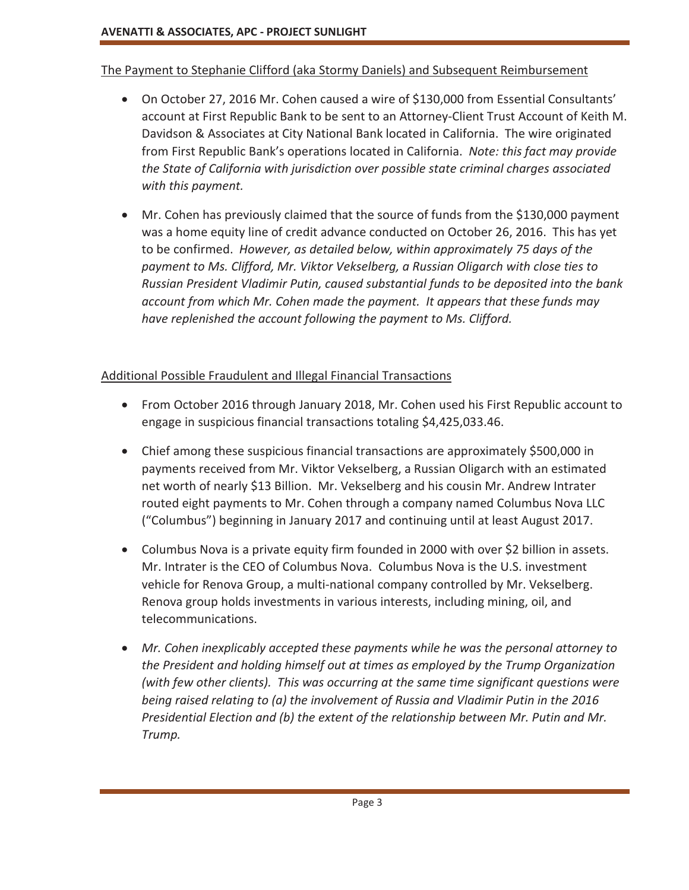## The Payment to Stephanie Clifford (aka Stormy Daniels) and Subsequent Reimbursement

- On October 27, 2016 Mr. Cohen caused a wire of \$130,000 from Essential Consultants' account at First Republic Bank to be sent to an Attorney-Client Trust Account of Keith M. Davidson & Associates at City National Bank located in California. The wire originated from First Republic Bank's operations located in California. *Note: this fact may provide the State of California with jurisdiction over possible state criminal charges associated with this payment.*
- Mr. Cohen has previously claimed that the source of funds from the \$130,000 payment was a home equity line of credit advance conducted on October 26, 2016. This has yet to be confirmed. *However, as detailed below, within approximately 75 days of the payment to Ms. Clifford, Mr. Viktor Vekselberg, a Russian Oligarch with close ties to Russian President Vladimir Putin, caused substantial funds to be deposited into the bank account from which Mr. Cohen made the payment. It appears that these funds may have replenished the account following the payment to Ms. Clifford.*

## Additional Possible Fraudulent and Illegal Financial Transactions

- From October 2016 through January 2018, Mr. Cohen used his First Republic account to engage in suspicious financial transactions totaling \$4,425,033.46.
- Chief among these suspicious financial transactions are approximately \$500,000 in payments received from Mr. Viktor Vekselberg, a Russian Oligarch with an estimated net worth of nearly \$13 Billion. Mr. Vekselberg and his cousin Mr. Andrew Intrater routed eight payments to Mr. Cohen through a company named Columbus Nova LLC ("Columbus") beginning in January 2017 and continuing until at least August 2017.
- Columbus Nova is a private equity firm founded in 2000 with over \$2 billion in assets. Mr. Intrater is the CEO of Columbus Nova. Columbus Nova is the U.S. investment vehicle for Renova Group, a multi-national company controlled by Mr. Vekselberg. Renova group holds investments in various interests, including mining, oil, and telecommunications.
- x *Mr. Cohen inexplicably accepted these payments while he was the personal attorney to the President and holding himself out at times as employed by the Trump Organization (with few other clients). This was occurring at the same time significant questions were being raised relating to (a) the involvement of Russia and Vladimir Putin in the 2016 Presidential Election and (b) the extent of the relationship between Mr. Putin and Mr. Trump.*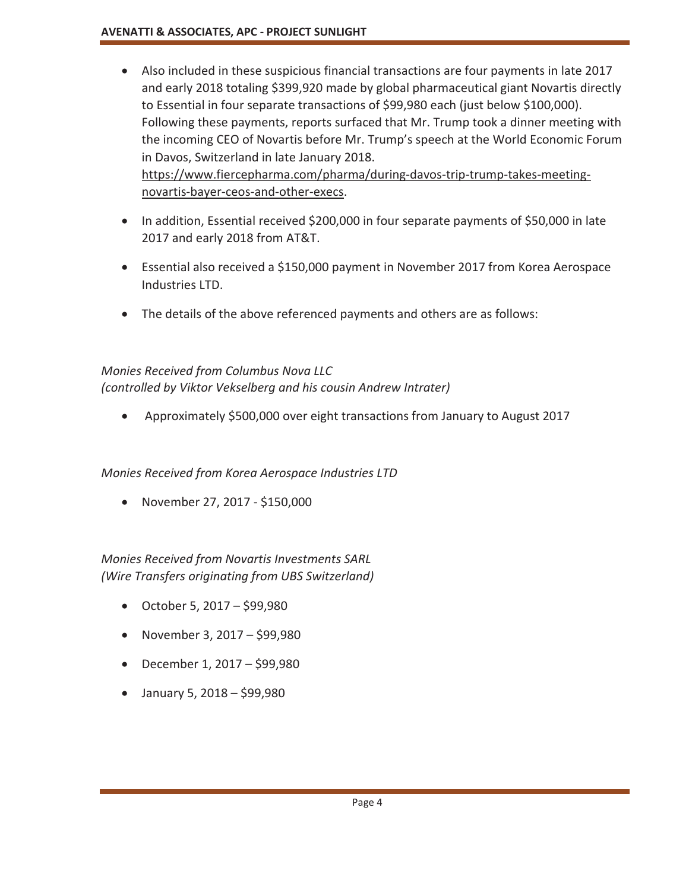- Also included in these suspicious financial transactions are four payments in late 2017 and early 2018 totaling \$399,920 made by global pharmaceutical giant Novartis directly to Essential in four separate transactions of \$99,980 each (just below \$100,000). Following these payments, reports surfaced that Mr. Trump took a dinner meeting with the incoming CEO of Novartis before Mr. Trump's speech at the World Economic Forum in Davos, Switzerland in late January 2018. https://www.fiercepharma.com/pharma/during-davos-trip-trump-takes-meetingnovartis-bayer-ceos-and-other-execs.
- In addition, Essential received \$200,000 in four separate payments of \$50,000 in late 2017 and early 2018 from AT&T.
- Essential also received a \$150,000 payment in November 2017 from Korea Aerospace Industries LTD.
- The details of the above referenced payments and others are as follows:

# *Monies Received from Columbus Nova LLC*

*(controlled by Viktor Vekselberg and his cousin Andrew Intrater)* 

• Approximately \$500,000 over eight transactions from January to August 2017

*Monies Received from Korea Aerospace Industries LTD* 

 $\bullet$  November 27, 2017 - \$150,000

*Monies Received from Novartis Investments SARL (Wire Transfers originating from UBS Switzerland)* 

- October 5, 2017 \$99,980
- November 3, 2017 \$99,980
- $\bullet$  December 1, 2017 \$99,980
- $\bullet$  January 5, 2018 \$99,980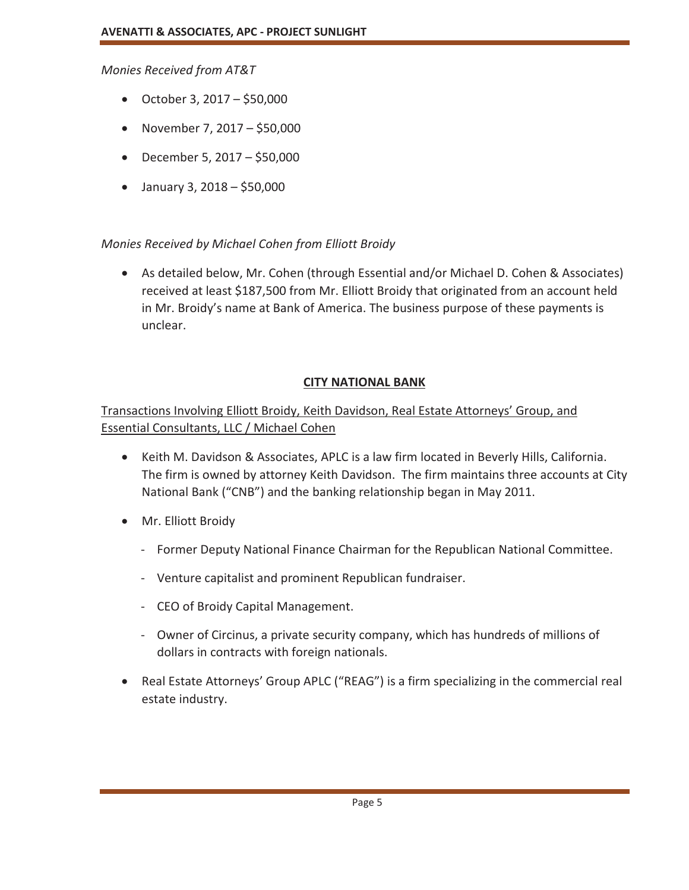*Monies Received from AT&T* 

- October 3, 2017 \$50,000
- November 7, 2017 \$50,000
- December 5, 2017 \$50,000
- $\bullet$  January 3, 2018 \$50,000

#### *Monies Received by Michael Cohen from Elliott Broidy*

• As detailed below, Mr. Cohen (through Essential and/or Michael D. Cohen & Associates) received at least \$187,500 from Mr. Elliott Broidy that originated from an account held in Mr. Broidy's name at Bank of America. The business purpose of these payments is unclear.

### **CITY NATIONAL BANK**

## Transactions Involving Elliott Broidy, Keith Davidson, Real Estate Attorneys' Group, and Essential Consultants, LLC / Michael Cohen

- x Keith M. Davidson & Associates, APLC is a law firm located in Beverly Hills, California. The firm is owned by attorney Keith Davidson. The firm maintains three accounts at City National Bank ("CNB") and the banking relationship began in May 2011.
- Mr. Elliott Broidy
	- Former Deputy National Finance Chairman for the Republican National Committee.
	- Venture capitalist and prominent Republican fundraiser.
	- CEO of Broidy Capital Management.
	- Owner of Circinus, a private security company, which has hundreds of millions of dollars in contracts with foreign nationals.
- Real Estate Attorneys' Group APLC ("REAG") is a firm specializing in the commercial real estate industry.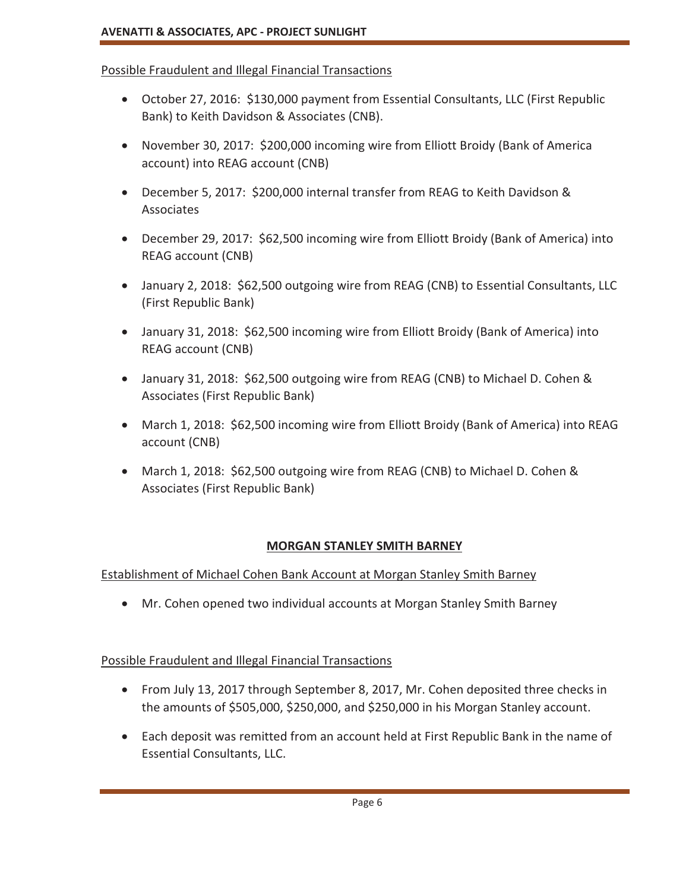### Possible Fraudulent and Illegal Financial Transactions

- October 27, 2016: \$130,000 payment from Essential Consultants, LLC (First Republic Bank) to Keith Davidson & Associates (CNB).
- November 30, 2017: \$200,000 incoming wire from Elliott Broidy (Bank of America account) into REAG account (CNB)
- x December 5, 2017: \$200,000 internal transfer from REAG to Keith Davidson & Associates
- December 29, 2017: \$62,500 incoming wire from Elliott Broidy (Bank of America) into REAG account (CNB)
- January 2, 2018: \$62,500 outgoing wire from REAG (CNB) to Essential Consultants, LLC (First Republic Bank)
- January 31, 2018: \$62,500 incoming wire from Elliott Broidy (Bank of America) into REAG account (CNB)
- January 31, 2018: \$62,500 outgoing wire from REAG (CNB) to Michael D. Cohen & Associates (First Republic Bank)
- March 1, 2018: \$62,500 incoming wire from Elliott Broidy (Bank of America) into REAG account (CNB)
- March 1, 2018: \$62,500 outgoing wire from REAG (CNB) to Michael D. Cohen & Associates (First Republic Bank)

## **MORGAN STANLEY SMITH BARNEY**

Establishment of Michael Cohen Bank Account at Morgan Stanley Smith Barney

• Mr. Cohen opened two individual accounts at Morgan Stanley Smith Barney

## Possible Fraudulent and Illegal Financial Transactions

- From July 13, 2017 through September 8, 2017, Mr. Cohen deposited three checks in the amounts of \$505,000, \$250,000, and \$250,000 in his Morgan Stanley account.
- Each deposit was remitted from an account held at First Republic Bank in the name of Essential Consultants, LLC.